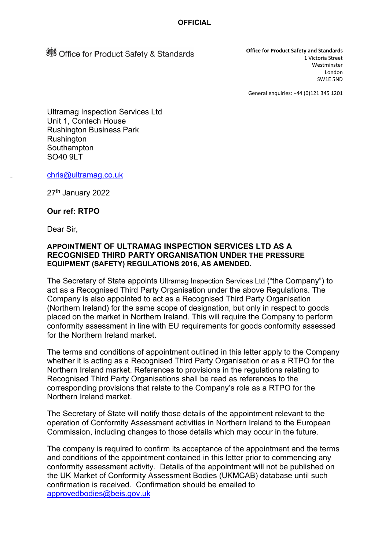**Standards** Office for Product Safety & Standards

**Office for Product Safety and Standards** 1 Victoria Street Westminster London SW1E 5ND

General enquiries: +44 (0)121 345 1201

Ultramag Inspection Services Ltd Unit 1, Contech House Rushington Business Park Rushington **Southampton** SO40 9LT

[chris@ultramag.co.uk](mailto:chris@ultramag.co.uk)

27<sup>th</sup> January 2022

### **Our ref: RTPO**

Dear Sir,

-

### **APPOINTMENT OF ULTRAMAG INSPECTION SERVICES LTD AS A RECOGNISED THIRD PARTY ORGANISATION UNDER THE PRESSURE EQUIPMENT (SAFETY) REGULATIONS 2016, AS AMENDED.**

The Secretary of State appoints Ultramag Inspection Services Ltd ("the Company") to act as a Recognised Third Party Organisation under the above Regulations. The Company is also appointed to act as a Recognised Third Party Organisation (Northern Ireland) for the same scope of designation, but only in respect to goods placed on the market in Northern Ireland. This will require the Company to perform conformity assessment in line with EU requirements for goods conformity assessed for the Northern Ireland market.

The terms and conditions of appointment outlined in this letter apply to the Company whether it is acting as a Recognised Third Party Organisation or as a RTPO for the Northern Ireland market. References to provisions in the regulations relating to Recognised Third Party Organisations shall be read as references to the corresponding provisions that relate to the Company's role as a RTPO for the Northern Ireland market.

The Secretary of State will notify those details of the appointment relevant to the operation of Conformity Assessment activities in Northern Ireland to the European Commission, including changes to those details which may occur in the future.

The company is required to confirm its acceptance of the appointment and the terms and conditions of the appointment contained in this letter prior to commencing any conformity assessment activity. Details of the appointment will not be published on the UK Market of Conformity Assessment Bodies (UKMCAB) database until such confirmation is received. Confirmation should be emailed to [approvedbodies@beis.gov.uk](mailto:approvedbodies@beis.gov.uk)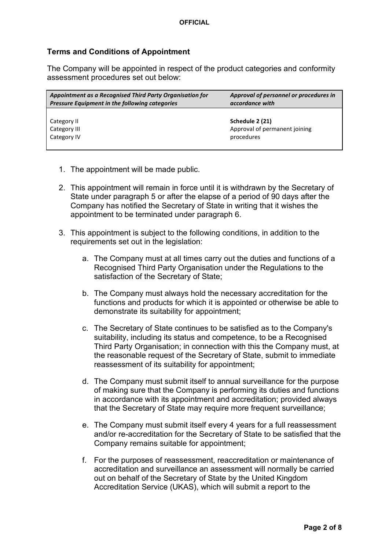## **Terms and Conditions of Appointment**

The Company will be appointed in respect of the product categories and conformity assessment procedures set out below:

| Appointment as a Recognised Third Party Organisation for | Approval of personnel or procedures in |
|----------------------------------------------------------|----------------------------------------|
| <b>Pressure Equipment in the following categories</b>    | accordance with                        |
| Category II                                              | Schedule 2 (21)                        |
| Category III                                             | Approval of permanent joining          |
| Category IV                                              | procedures                             |

- 1. The appointment will be made public.
- 2. This appointment will remain in force until it is withdrawn by the Secretary of State under paragraph 5 or after the elapse of a period of 90 days after the Company has notified the Secretary of State in writing that it wishes the appointment to be terminated under paragraph 6.
- 3. This appointment is subject to the following conditions, in addition to the requirements set out in the legislation:
	- a. The Company must at all times carry out the duties and functions of a Recognised Third Party Organisation under the Regulations to the satisfaction of the Secretary of State;
	- b. The Company must always hold the necessary accreditation for the functions and products for which it is appointed or otherwise be able to demonstrate its suitability for appointment;
	- c. The Secretary of State continues to be satisfied as to the Company's suitability, including its status and competence, to be a Recognised Third Party Organisation; in connection with this the Company must, at the reasonable request of the Secretary of State, submit to immediate reassessment of its suitability for appointment;
	- d. The Company must submit itself to annual surveillance for the purpose of making sure that the Company is performing its duties and functions in accordance with its appointment and accreditation; provided always that the Secretary of State may require more frequent surveillance;
	- e. The Company must submit itself every 4 years for a full reassessment and/or re-accreditation for the Secretary of State to be satisfied that the Company remains suitable for appointment;
	- f. For the purposes of reassessment, reaccreditation or maintenance of accreditation and surveillance an assessment will normally be carried out on behalf of the Secretary of State by the United Kingdom Accreditation Service (UKAS), which will submit a report to the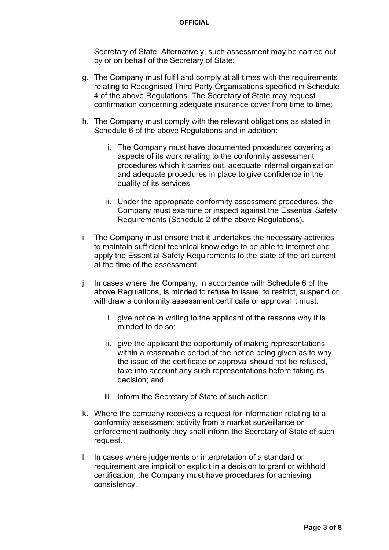Secretary of State. Alternatively, such assessment may be carried out by or on behalf of the Secretary of State;

- g. The Company must fulfil and comply at all times with the requirements relating to Recognised Third Party Organisations specified in Schedule 4 of the above Regulations. The Secretary of State may request confirmation concerning adequate insurance cover from time to time;
- h. The Company must comply with the relevant obligations as stated in Schedule 6 of the above Regulations and in addition:
	- i. The Company must have documented procedures covering all aspects of its work relating to the conformity assessment procedures which it carries out, adequate internal organisation and adequate procedures in place to give confidence in the quality of its services.
	- ii. Under the appropriate conformity assessment procedures, the Company must examine or inspect against the Essential Safety Requirements (Schedule 2 of the above Regulations).
- i. The Company must ensure that it undertakes the necessary activities to maintain sufficient technical knowledge to be able to interpret and apply the Essential Safety Requirements to the state of the art current at the time of the assessment.
- j. In cases where the Company, in accordance with Schedule 6 of the above Regulations, is minded to refuse to issue, to restrict, suspend or withdraw a conformity assessment certificate or approval it must:
	- i. give notice in writing to the applicant of the reasons why it is minded to do so;
	- ii. give the applicant the opportunity of making representations within a reasonable period of the notice being given as to why the issue of the certificate or approval should not be refused, take into account any such representations before taking its decision; and
	- iii. inform the Secretary of State of such action.
- k. Where the company receives a request for information relating to a conformity assessment activity from a market surveillance or enforcement authority they shall inform the Secretary of State of such request.
- l. In cases where judgements or interpretation of a standard or requirement are implicit or explicit in a decision to grant or withhold certification, the Company must have procedures for achieving consistency.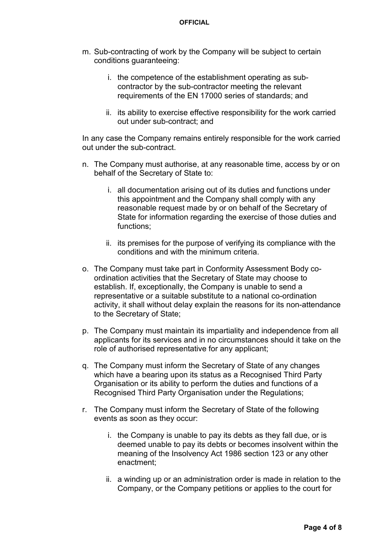- m. Sub-contracting of work by the Company will be subject to certain conditions guaranteeing:
	- i. the competence of the establishment operating as subcontractor by the sub-contractor meeting the relevant requirements of the EN 17000 series of standards; and
	- ii. its ability to exercise effective responsibility for the work carried out under sub-contract; and

In any case the Company remains entirely responsible for the work carried out under the sub-contract.

- n. The Company must authorise, at any reasonable time, access by or on behalf of the Secretary of State to:
	- i. all documentation arising out of its duties and functions under this appointment and the Company shall comply with any reasonable request made by or on behalf of the Secretary of State for information regarding the exercise of those duties and functions;
	- ii. its premises for the purpose of verifying its compliance with the conditions and with the minimum criteria.
- o. The Company must take part in Conformity Assessment Body coordination activities that the Secretary of State may choose to establish. If, exceptionally, the Company is unable to send a representative or a suitable substitute to a national co-ordination activity, it shall without delay explain the reasons for its non-attendance to the Secretary of State;
- p. The Company must maintain its impartiality and independence from all applicants for its services and in no circumstances should it take on the role of authorised representative for any applicant;
- q. The Company must inform the Secretary of State of any changes which have a bearing upon its status as a Recognised Third Party Organisation or its ability to perform the duties and functions of a Recognised Third Party Organisation under the Regulations;
- r. The Company must inform the Secretary of State of the following events as soon as they occur:
	- i. the Company is unable to pay its debts as they fall due, or is deemed unable to pay its debts or becomes insolvent within the meaning of the Insolvency Act 1986 section 123 or any other enactment;
	- ii. a winding up or an administration order is made in relation to the Company, or the Company petitions or applies to the court for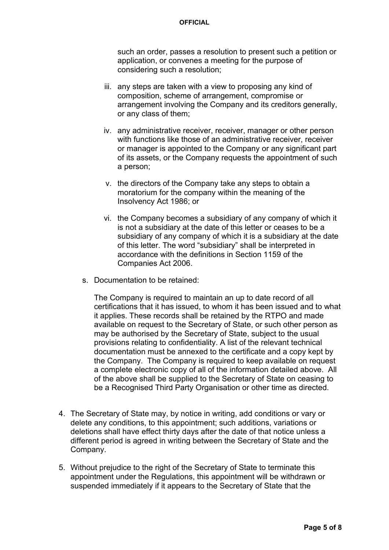such an order, passes a resolution to present such a petition or application, or convenes a meeting for the purpose of considering such a resolution;

- iii. any steps are taken with a view to proposing any kind of composition, scheme of arrangement, compromise or arrangement involving the Company and its creditors generally, or any class of them;
- iv. any administrative receiver, receiver, manager or other person with functions like those of an administrative receiver, receiver or manager is appointed to the Company or any significant part of its assets, or the Company requests the appointment of such a person;
- v. the directors of the Company take any steps to obtain a moratorium for the company within the meaning of the Insolvency Act 1986; or
- vi. the Company becomes a subsidiary of any company of which it is not a subsidiary at the date of this letter or ceases to be a subsidiary of any company of which it is a subsidiary at the date of this letter. The word "subsidiary" shall be interpreted in accordance with the definitions in Section 1159 of the Companies Act 2006.
- s. Documentation to be retained:

The Company is required to maintain an up to date record of all certifications that it has issued, to whom it has been issued and to what it applies. These records shall be retained by the RTPO and made available on request to the Secretary of State, or such other person as may be authorised by the Secretary of State, subject to the usual provisions relating to confidentiality. A list of the relevant technical documentation must be annexed to the certificate and a copy kept by the Company. The Company is required to keep available on request a complete electronic copy of all of the information detailed above. All of the above shall be supplied to the Secretary of State on ceasing to be a Recognised Third Party Organisation or other time as directed.

- 4. The Secretary of State may, by notice in writing, add conditions or vary or delete any conditions, to this appointment; such additions, variations or deletions shall have effect thirty days after the date of that notice unless a different period is agreed in writing between the Secretary of State and the Company.
- 5. Without prejudice to the right of the Secretary of State to terminate this appointment under the Regulations, this appointment will be withdrawn or suspended immediately if it appears to the Secretary of State that the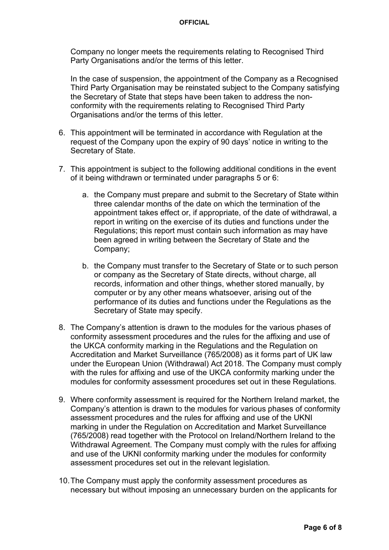Company no longer meets the requirements relating to Recognised Third Party Organisations and/or the terms of this letter.

In the case of suspension, the appointment of the Company as a Recognised Third Party Organisation may be reinstated subject to the Company satisfying the Secretary of State that steps have been taken to address the nonconformity with the requirements relating to Recognised Third Party Organisations and/or the terms of this letter.

- 6. This appointment will be terminated in accordance with Regulation at the request of the Company upon the expiry of 90 days' notice in writing to the Secretary of State.
- 7. This appointment is subject to the following additional conditions in the event of it being withdrawn or terminated under paragraphs 5 or 6:
	- a. the Company must prepare and submit to the Secretary of State within three calendar months of the date on which the termination of the appointment takes effect or, if appropriate, of the date of withdrawal, a report in writing on the exercise of its duties and functions under the Regulations; this report must contain such information as may have been agreed in writing between the Secretary of State and the Company;
	- b. the Company must transfer to the Secretary of State or to such person or company as the Secretary of State directs, without charge, all records, information and other things, whether stored manually, by computer or by any other means whatsoever, arising out of the performance of its duties and functions under the Regulations as the Secretary of State may specify.
- 8. The Company's attention is drawn to the modules for the various phases of conformity assessment procedures and the rules for the affixing and use of the UKCA conformity marking in the Regulations and the Regulation on Accreditation and Market Surveillance (765/2008) as it forms part of UK law under the European Union (Withdrawal) Act 2018. The Company must comply with the rules for affixing and use of the UKCA conformity marking under the modules for conformity assessment procedures set out in these Regulations*.*
- 9. Where conformity assessment is required for the Northern Ireland market, the Company's attention is drawn to the modules for various phases of conformity assessment procedures and the rules for affixing and use of the UKNI marking in under the Regulation on Accreditation and Market Surveillance (765/2008) read together with the Protocol on Ireland/Northern Ireland to the Withdrawal Agreement. The Company must comply with the rules for affixing and use of the UKNI conformity marking under the modules for conformity assessment procedures set out in the relevant legislation*.*
- 10.The Company must apply the conformity assessment procedures as necessary but without imposing an unnecessary burden on the applicants for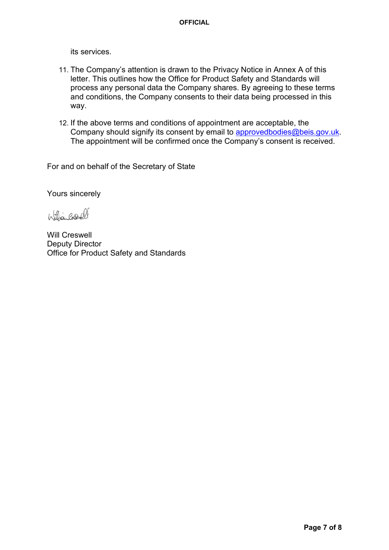its services.

- 11. The Company's attention is drawn to the Privacy Notice in Annex A of this letter. This outlines how the Office for Product Safety and Standards will process any personal data the Company shares. By agreeing to these terms and conditions, the Company consents to their data being processed in this way.
- 12. If the above terms and conditions of appointment are acceptable, the Company should signify its consent by email to [approvedbodies@beis.gov.uk.](mailto:approvedbodies@beis.gov.uk) The appointment will be confirmed once the Company's consent is received.

For and on behalf of the Secretary of State

Yours sincerely

Williamberell

Will Creswell Deputy Director Office for Product Safety and Standards